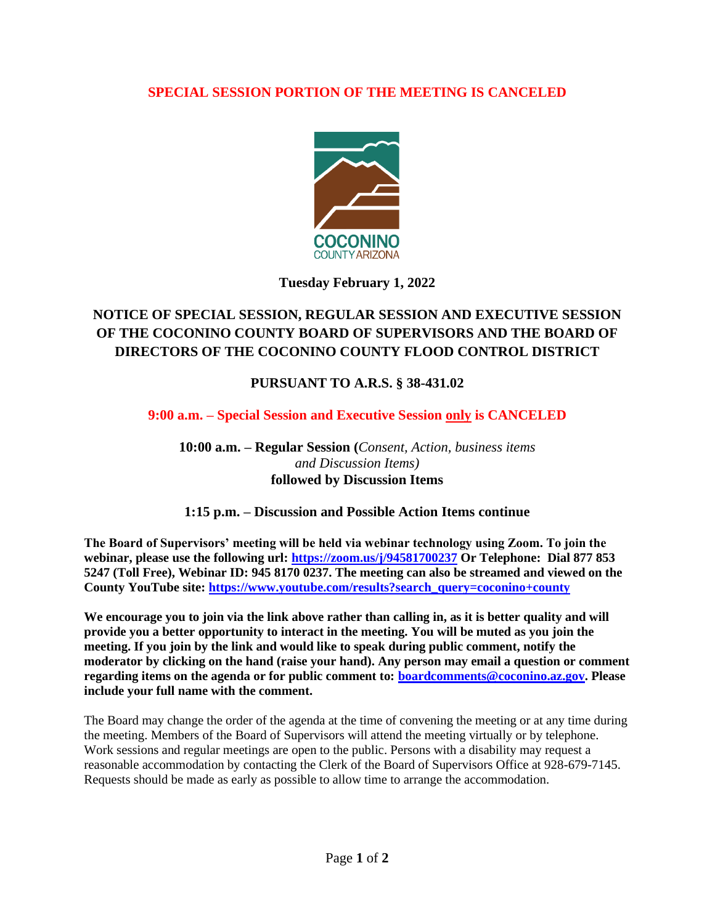# **SPECIAL SESSION PORTION OF THE MEETING IS CANCELED**



# **Tuesday February 1, 2022**

# **NOTICE OF SPECIAL SESSION, REGULAR SESSION AND EXECUTIVE SESSION OF THE COCONINO COUNTY BOARD OF SUPERVISORS AND THE BOARD OF DIRECTORS OF THE COCONINO COUNTY FLOOD CONTROL DISTRICT**

# **PURSUANT TO A.R.S. § 38-431.02**

#### **9:00 a.m. – Special Session and Executive Session only is CANCELED**

**10:00 a.m. – Regular Session (***Consent, Action, business items and Discussion Items)* **followed by Discussion Items** 

#### **1:15 p.m. – Discussion and Possible Action Items continue**

**The Board of Supervisors' meeting will be held via webinar technology using Zoom. To join the webinar, please use the following url:<https://zoom.us/j/94581700237> Or Telephone: Dial 877 853 5247 (Toll Free), Webinar ID: 945 8170 0237. The meeting can also be streamed and viewed on the County YouTube site: [https://www.youtube.com/results?search\\_query=coconino+county](https://www.youtube.com/results?search_query=coconino+county)**

We encourage you to join via the link above rather than calling in, as it is better quality and will **provide you a better opportunity to interact in the meeting. You will be muted as you join the meeting. If you join by the link and would like to speak during public comment, notify the moderator by clicking on the hand (raise your hand). Any person may email a question or comment regarding items on the agenda or for public comment to: [boardcomments@coconino.az.gov.](mailto:boardcomments@coconino.az.gov) Please include your full name with the comment.** 

The Board may change the order of the agenda at the time of convening the meeting or at any time during the meeting. Members of the Board of Supervisors will attend the meeting virtually or by telephone. Work sessions and regular meetings are open to the public. Persons with a disability may request a reasonable accommodation by contacting the Clerk of the Board of Supervisors Office at 928-679-7145. Requests should be made as early as possible to allow time to arrange the accommodation.